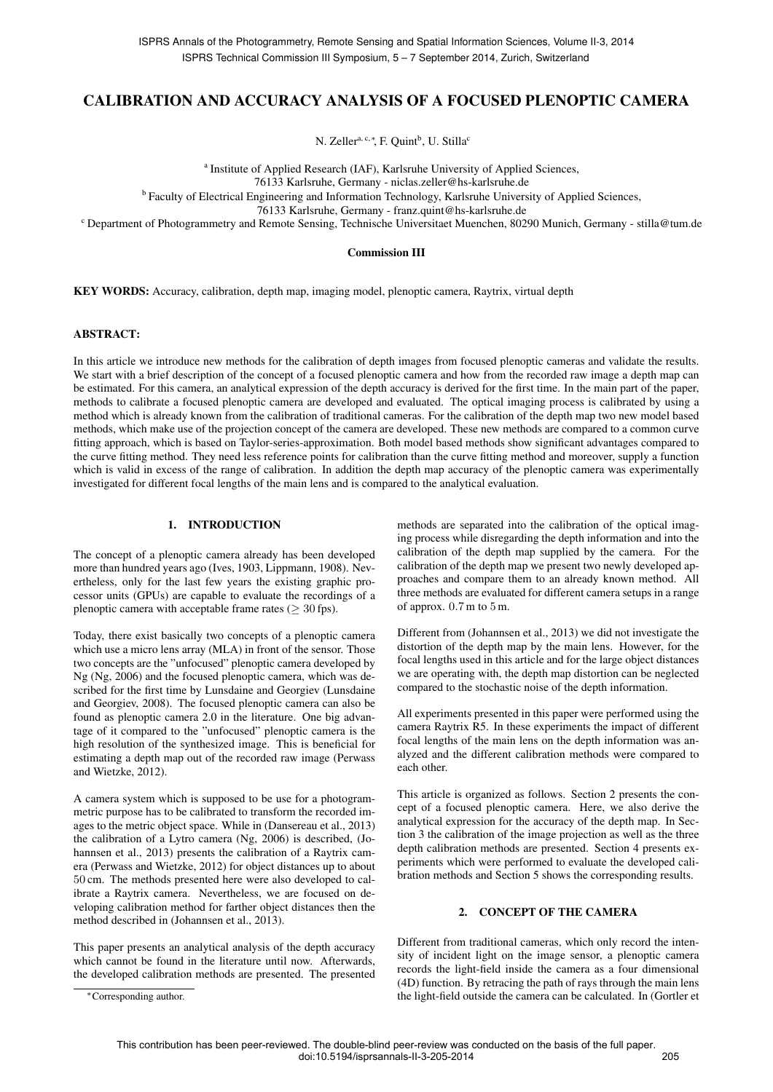# CALIBRATION AND ACCURACY ANALYSIS OF A FOCUSED PLENOPTIC CAMERA

N. Zeller<sup>a, c,\*</sup>, F. Quint<sup>b</sup>, U. Stilla<sup>c</sup>

<sup>a</sup> Institute of Applied Research (IAF), Karlsruhe University of Applied Sciences,

76133 Karlsruhe, Germany - niclas.zeller@hs-karlsruhe.de

<sup>b</sup> Faculty of Electrical Engineering and Information Technology, Karlsruhe University of Applied Sciences,

76133 Karlsruhe, Germany - franz.quint@hs-karlsruhe.de

<sup>c</sup> Department of Photogrammetry and Remote Sensing, Technische Universitaet Muenchen, 80290 Munich, Germany - stilla@tum.de

## Commission III

KEY WORDS: Accuracy, calibration, depth map, imaging model, plenoptic camera, Raytrix, virtual depth

## ABSTRACT:

In this article we introduce new methods for the calibration of depth images from focused plenoptic cameras and validate the results. We start with a brief description of the concept of a focused plenoptic camera and how from the recorded raw image a depth map can be estimated. For this camera, an analytical expression of the depth accuracy is derived for the first time. In the main part of the paper, methods to calibrate a focused plenoptic camera are developed and evaluated. The optical imaging process is calibrated by using a method which is already known from the calibration of traditional cameras. For the calibration of the depth map two new model based methods, which make use of the projection concept of the camera are developed. These new methods are compared to a common curve fitting approach, which is based on Taylor-series-approximation. Both model based methods show significant advantages compared to the curve fitting method. They need less reference points for calibration than the curve fitting method and moreover, supply a function which is valid in excess of the range of calibration. In addition the depth map accuracy of the plenoptic camera was experimentally investigated for different focal lengths of the main lens and is compared to the analytical evaluation.

# 1. INTRODUCTION

The concept of a plenoptic camera already has been developed more than hundred years ago (Ives, 1903, Lippmann, 1908). Nevertheless, only for the last few years the existing graphic processor units (GPUs) are capable to evaluate the recordings of a plenoptic camera with acceptable frame rates ( $>$  30 fps).

Today, there exist basically two concepts of a plenoptic camera which use a micro lens array (MLA) in front of the sensor. Those two concepts are the "unfocused" plenoptic camera developed by Ng (Ng, 2006) and the focused plenoptic camera, which was described for the first time by Lunsdaine and Georgiev (Lunsdaine and Georgiev, 2008). The focused plenoptic camera can also be found as plenoptic camera 2.0 in the literature. One big advantage of it compared to the "unfocused" plenoptic camera is the high resolution of the synthesized image. This is beneficial for estimating a depth map out of the recorded raw image (Perwass and Wietzke, 2012).

A camera system which is supposed to be use for a photogrammetric purpose has to be calibrated to transform the recorded images to the metric object space. While in (Dansereau et al., 2013) the calibration of a Lytro camera (Ng, 2006) is described, (Johannsen et al., 2013) presents the calibration of a Raytrix camera (Perwass and Wietzke, 2012) for object distances up to about 50 cm. The methods presented here were also developed to calibrate a Raytrix camera. Nevertheless, we are focused on developing calibration method for farther object distances then the method described in (Johannsen et al., 2013).

This paper presents an analytical analysis of the depth accuracy which cannot be found in the literature until now. Afterwards, the developed calibration methods are presented. The presented

<sup>∗</sup>Corresponding author.

methods are separated into the calibration of the optical imaging process while disregarding the depth information and into the calibration of the depth map supplied by the camera. For the calibration of the depth map we present two newly developed approaches and compare them to an already known method. All three methods are evaluated for different camera setups in a range of approx. 0.7 m to 5 m.

Different from (Johannsen et al., 2013) we did not investigate the distortion of the depth map by the main lens. However, for the focal lengths used in this article and for the large object distances we are operating with, the depth map distortion can be neglected compared to the stochastic noise of the depth information.

All experiments presented in this paper were performed using the camera Raytrix R5. In these experiments the impact of different focal lengths of the main lens on the depth information was analyzed and the different calibration methods were compared to each other.

This article is organized as follows. Section 2 presents the concept of a focused plenoptic camera. Here, we also derive the analytical expression for the accuracy of the depth map. In Section 3 the calibration of the image projection as well as the three depth calibration methods are presented. Section 4 presents experiments which were performed to evaluate the developed calibration methods and Section 5 shows the corresponding results.

## 2. CONCEPT OF THE CAMERA

Different from traditional cameras, which only record the intensity of incident light on the image sensor, a plenoptic camera records the light-field inside the camera as a four dimensional (4D) function. By retracing the path of rays through the main lens the light-field outside the camera can be calculated. In (Gortler et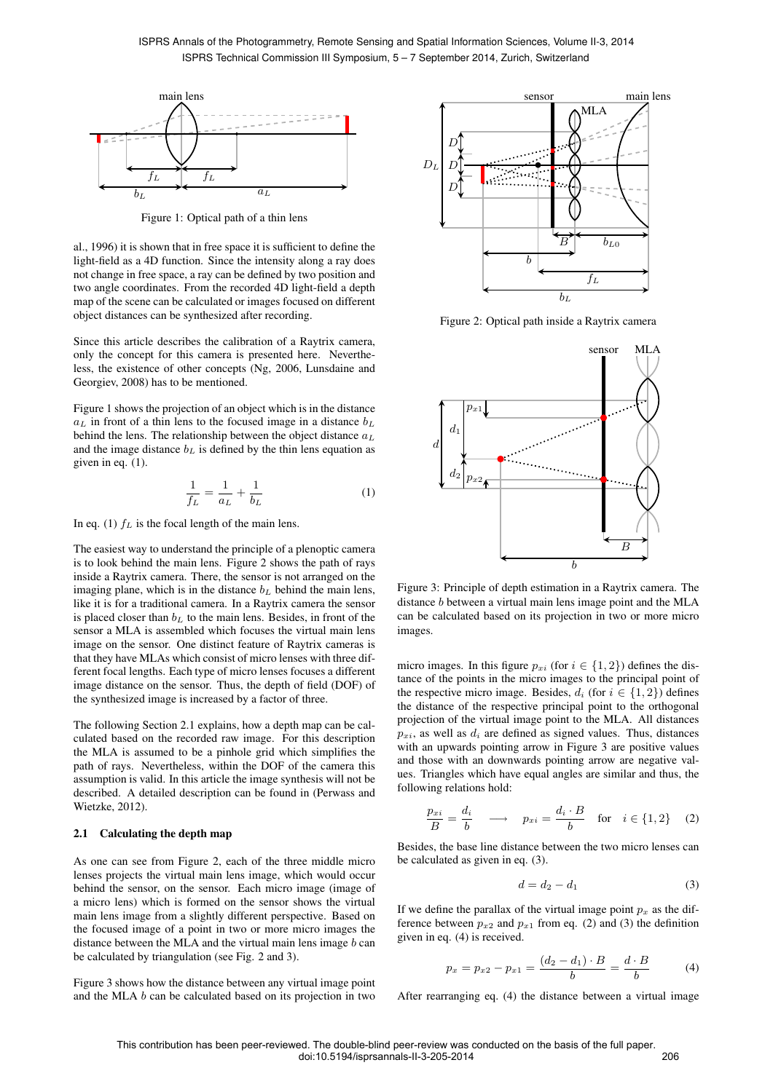

Figure 1: Optical path of a thin lens

al., 1996) it is shown that in free space it is sufficient to define the light-field as a 4D function. Since the intensity along a ray does not change in free space, a ray can be defined by two position and two angle coordinates. From the recorded 4D light-field a depth map of the scene can be calculated or images focused on different object distances can be synthesized after recording.

Since this article describes the calibration of a Raytrix camera, only the concept for this camera is presented here. Nevertheless, the existence of other concepts (Ng, 2006, Lunsdaine and Georgiev, 2008) has to be mentioned.

Figure 1 shows the projection of an object which is in the distance  $a_L$  in front of a thin lens to the focused image in a distance  $b_L$ behind the lens. The relationship between the object distance  $a<sub>L</sub>$ and the image distance  $b<sub>L</sub>$  is defined by the thin lens equation as given in eq. (1).

$$
\frac{1}{f_L} = \frac{1}{a_L} + \frac{1}{b_L} \tag{1}
$$

In eq. (1)  $f<sub>L</sub>$  is the focal length of the main lens.

The easiest way to understand the principle of a plenoptic camera is to look behind the main lens. Figure 2 shows the path of rays inside a Raytrix camera. There, the sensor is not arranged on the imaging plane, which is in the distance  $b<sub>L</sub>$  behind the main lens, like it is for a traditional camera. In a Raytrix camera the sensor is placed closer than  $b<sub>L</sub>$  to the main lens. Besides, in front of the sensor a MLA is assembled which focuses the virtual main lens image on the sensor. One distinct feature of Raytrix cameras is that they have MLAs which consist of micro lenses with three different focal lengths. Each type of micro lenses focuses a different image distance on the sensor. Thus, the depth of field (DOF) of the synthesized image is increased by a factor of three.

The following Section 2.1 explains, how a depth map can be calculated based on the recorded raw image. For this description the MLA is assumed to be a pinhole grid which simplifies the path of rays. Nevertheless, within the DOF of the camera this assumption is valid. In this article the image synthesis will not be described. A detailed description can be found in (Perwass and Wietzke, 2012).

# 2.1 Calculating the depth map

As one can see from Figure 2, each of the three middle micro lenses projects the virtual main lens image, which would occur behind the sensor, on the sensor. Each micro image (image of a micro lens) which is formed on the sensor shows the virtual main lens image from a slightly different perspective. Based on the focused image of a point in two or more micro images the distance between the MLA and the virtual main lens image  $b$  can be calculated by triangulation (see Fig. 2 and 3).

Figure 3 shows how the distance between any virtual image point and the MLA b can be calculated based on its projection in two



Figure 2: Optical path inside a Raytrix camera



Figure 3: Principle of depth estimation in a Raytrix camera. The distance b between a virtual main lens image point and the MLA can be calculated based on its projection in two or more micro images.

micro images. In this figure  $p_{xi}$  (for  $i \in \{1, 2\}$ ) defines the distance of the points in the micro images to the principal point of the respective micro image. Besides,  $d_i$  (for  $i \in \{1, 2\}$ ) defines the distance of the respective principal point to the orthogonal projection of the virtual image point to the MLA. All distances  $p_{xi}$ , as well as  $d_i$  are defined as signed values. Thus, distances with an upwards pointing arrow in Figure 3 are positive values and those with an downwards pointing arrow are negative values. Triangles which have equal angles are similar and thus, the following relations hold:

$$
\frac{p_{xi}}{B} = \frac{d_i}{b} \longrightarrow p_{xi} = \frac{d_i \cdot B}{b} \text{ for } i \in \{1, 2\} \quad (2)
$$

Besides, the base line distance between the two micro lenses can be calculated as given in eq. (3).

$$
d = d_2 - d_1 \tag{3}
$$

If we define the parallax of the virtual image point  $p_x$  as the difference between  $p_{x2}$  and  $p_{x1}$  from eq. (2) and (3) the definition given in eq. (4) is received.

$$
p_x = p_{x2} - p_{x1} = \frac{(d_2 - d_1) \cdot B}{b} = \frac{d \cdot B}{b}
$$
 (4)

After rearranging eq. (4) the distance between a virtual image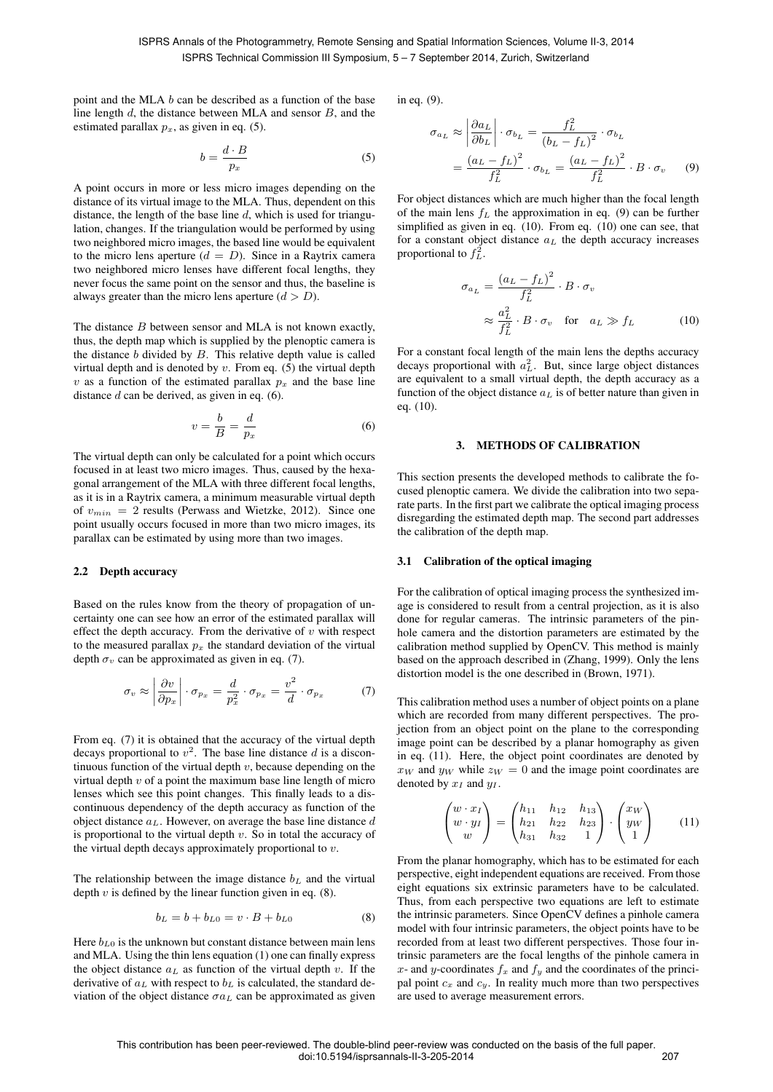point and the MLA b can be described as a function of the base line length d, the distance between MLA and sensor B, and the estimated parallax  $p_x$ , as given in eq. (5).

$$
b = \frac{d \cdot B}{p_x} \tag{5}
$$

A point occurs in more or less micro images depending on the distance of its virtual image to the MLA. Thus, dependent on this distance, the length of the base line  $d$ , which is used for triangulation, changes. If the triangulation would be performed by using two neighbored micro images, the based line would be equivalent to the micro lens aperture  $(d = D)$ . Since in a Raytrix camera two neighbored micro lenses have different focal lengths, they never focus the same point on the sensor and thus, the baseline is always greater than the micro lens aperture  $(d > D)$ .

The distance  $B$  between sensor and MLA is not known exactly, thus, the depth map which is supplied by the plenoptic camera is the distance  $b$  divided by  $B$ . This relative depth value is called virtual depth and is denoted by  $v$ . From eq. (5) the virtual depth v as a function of the estimated parallax  $p_x$  and the base line distance  $d$  can be derived, as given in eq. (6).

$$
v = \frac{b}{B} = \frac{d}{p_x} \tag{6}
$$

The virtual depth can only be calculated for a point which occurs focused in at least two micro images. Thus, caused by the hexagonal arrangement of the MLA with three different focal lengths, as it is in a Raytrix camera, a minimum measurable virtual depth of  $v_{min} = 2$  results (Perwass and Wietzke, 2012). Since one point usually occurs focused in more than two micro images, its parallax can be estimated by using more than two images.

## 2.2 Depth accuracy

Based on the rules know from the theory of propagation of uncertainty one can see how an error of the estimated parallax will effect the depth accuracy. From the derivative of  $v$  with respect to the measured parallax  $p_x$  the standard deviation of the virtual depth  $\sigma_v$  can be approximated as given in eq. (7).

$$
\sigma_v \approx \left| \frac{\partial v}{\partial p_x} \right| \cdot \sigma_{p_x} = \frac{d}{p_x^2} \cdot \sigma_{p_x} = \frac{v^2}{d} \cdot \sigma_{p_x} \tag{7}
$$

From eq. (7) it is obtained that the accuracy of the virtual depth decays proportional to  $v^2$ . The base line distance d is a discontinuous function of the virtual depth  $v$ , because depending on the virtual depth  $v$  of a point the maximum base line length of micro lenses which see this point changes. This finally leads to a discontinuous dependency of the depth accuracy as function of the object distance  $a<sub>L</sub>$ . However, on average the base line distance d is proportional to the virtual depth  $v$ . So in total the accuracy of the virtual depth decays approximately proportional to  $v$ .

The relationship between the image distance  $b<sub>L</sub>$  and the virtual depth  $v$  is defined by the linear function given in eq.  $(8)$ .

$$
b_L = b + b_{L0} = v \cdot B + b_{L0}
$$
 (8)

Here  $b_{L0}$  is the unknown but constant distance between main lens and MLA. Using the thin lens equation (1) one can finally express the object distance  $a<sub>L</sub>$  as function of the virtual depth v. If the derivative of  $a<sub>L</sub>$  with respect to  $b<sub>L</sub>$  is calculated, the standard deviation of the object distance  $\sigma a_L$  can be approximated as given in eq. (9).

$$
\sigma_{a_L} \approx \left| \frac{\partial a_L}{\partial b_L} \right| \cdot \sigma_{b_L} = \frac{f_L^2}{(b_L - f_L)^2} \cdot \sigma_{b_L}
$$

$$
= \frac{(a_L - f_L)^2}{f_L^2} \cdot \sigma_{b_L} = \frac{(a_L - f_L)^2}{f_L^2} \cdot B \cdot \sigma_v \qquad (9)
$$

For object distances which are much higher than the focal length of the main lens  $f<sub>L</sub>$  the approximation in eq. (9) can be further simplified as given in eq. (10). From eq. (10) one can see, that for a constant object distance  $a<sub>L</sub>$  the depth accuracy increases proportional to  $f_L^2$ .

$$
\sigma_{a_L} = \frac{(a_L - f_L)^2}{f_L^2} \cdot B \cdot \sigma_v
$$
  
 
$$
\approx \frac{a_L^2}{f_L^2} \cdot B \cdot \sigma_v \quad \text{for} \quad a_L \gg f_L \tag{10}
$$

For a constant focal length of the main lens the depths accuracy decays proportional with  $a<sub>L</sub><sup>2</sup>$ . But, since large object distances are equivalent to a small virtual depth, the depth accuracy as a function of the object distance  $a_L$  is of better nature than given in eq. (10).

## 3. METHODS OF CALIBRATION

This section presents the developed methods to calibrate the focused plenoptic camera. We divide the calibration into two separate parts. In the first part we calibrate the optical imaging process disregarding the estimated depth map. The second part addresses the calibration of the depth map.

### 3.1 Calibration of the optical imaging

For the calibration of optical imaging process the synthesized image is considered to result from a central projection, as it is also done for regular cameras. The intrinsic parameters of the pinhole camera and the distortion parameters are estimated by the calibration method supplied by OpenCV. This method is mainly based on the approach described in (Zhang, 1999). Only the lens distortion model is the one described in (Brown, 1971).

This calibration method uses a number of object points on a plane which are recorded from many different perspectives. The projection from an object point on the plane to the corresponding image point can be described by a planar homography as given in eq. (11). Here, the object point coordinates are denoted by  $x_W$  and  $y_W$  while  $z_W = 0$  and the image point coordinates are denoted by  $x_I$  and  $y_I$ .

$$
\begin{pmatrix} w \cdot x_I \\ w \cdot y_I \\ w \end{pmatrix} = \begin{pmatrix} h_{11} & h_{12} & h_{13} \\ h_{21} & h_{22} & h_{23} \\ h_{31} & h_{32} & 1 \end{pmatrix} \cdot \begin{pmatrix} x_W \\ y_W \\ 1 \end{pmatrix}
$$
 (11)

From the planar homography, which has to be estimated for each perspective, eight independent equations are received. From those eight equations six extrinsic parameters have to be calculated. Thus, from each perspective two equations are left to estimate the intrinsic parameters. Since OpenCV defines a pinhole camera model with four intrinsic parameters, the object points have to be recorded from at least two different perspectives. Those four intrinsic parameters are the focal lengths of the pinhole camera in x- and y-coordinates  $f_x$  and  $f_y$  and the coordinates of the principal point  $c_x$  and  $c_y$ . In reality much more than two perspectives are used to average measurement errors.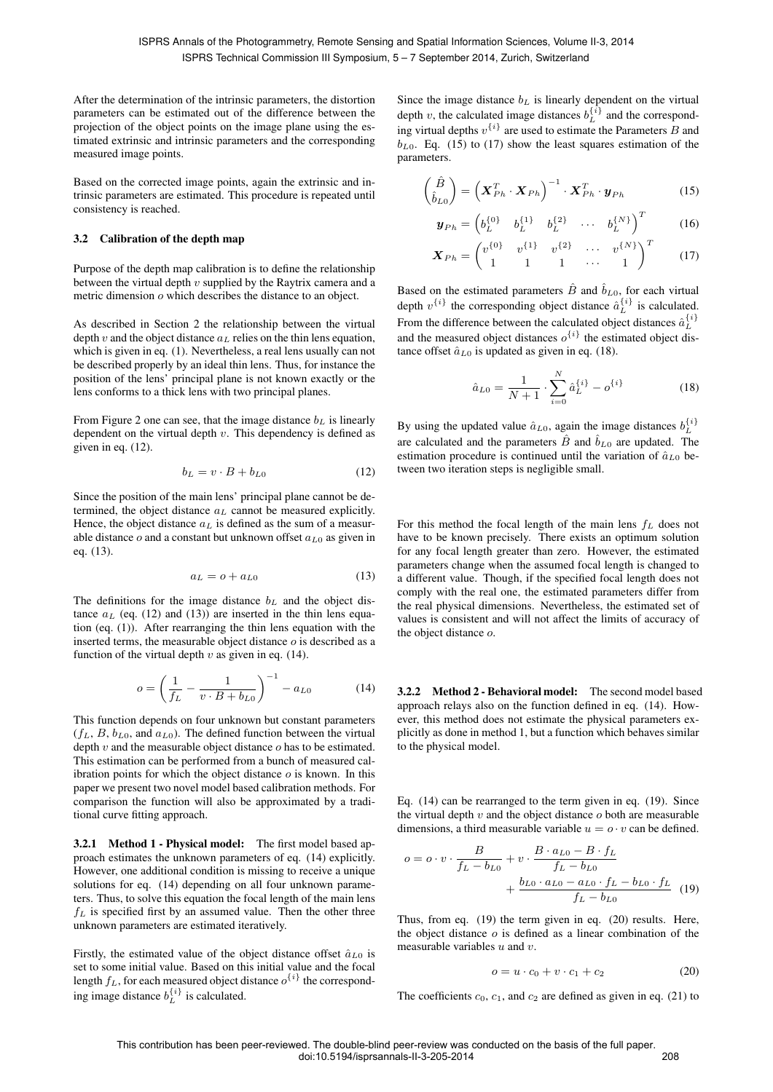After the determination of the intrinsic parameters, the distortion parameters can be estimated out of the difference between the projection of the object points on the image plane using the estimated extrinsic and intrinsic parameters and the corresponding measured image points.

Based on the corrected image points, again the extrinsic and intrinsic parameters are estimated. This procedure is repeated until consistency is reached.

## 3.2 Calibration of the depth map

Purpose of the depth map calibration is to define the relationship between the virtual depth  $v$  supplied by the Raytrix camera and a metric dimension o which describes the distance to an object.

As described in Section 2 the relationship between the virtual depth v and the object distance  $a<sub>L</sub>$  relies on the thin lens equation, which is given in eq. (1). Nevertheless, a real lens usually can not be described properly by an ideal thin lens. Thus, for instance the position of the lens' principal plane is not known exactly or the lens conforms to a thick lens with two principal planes.

From Figure 2 one can see, that the image distance  $b<sub>L</sub>$  is linearly dependent on the virtual depth  $v$ . This dependency is defined as given in eq. (12).

$$
b_L = v \cdot B + b_{L0} \tag{12}
$$

Since the position of the main lens' principal plane cannot be determined, the object distance  $a<sub>L</sub>$  cannot be measured explicitly. Hence, the object distance  $a_L$  is defined as the sum of a measurable distance  $o$  and a constant but unknown offset  $a_{L0}$  as given in eq. (13).

$$
a_L = o + a_{L0} \tag{13}
$$

The definitions for the image distance  $b<sub>L</sub>$  and the object distance  $a_L$  (eq. (12) and (13)) are inserted in the thin lens equation (eq. (1)). After rearranging the thin lens equation with the inserted terms, the measurable object distance o is described as a function of the virtual depth  $v$  as given in eq. (14).

$$
o = \left(\frac{1}{f_L} - \frac{1}{v \cdot B + b_{L0}}\right)^{-1} - a_{L0} \tag{14}
$$

This function depends on four unknown but constant parameters  $(f_L, B, b_{L0}, \text{ and } a_{L0})$ . The defined function between the virtual depth  $v$  and the measurable object distance  $o$  has to be estimated. This estimation can be performed from a bunch of measured calibration points for which the object distance  $o$  is known. In this paper we present two novel model based calibration methods. For comparison the function will also be approximated by a traditional curve fitting approach.

3.2.1 Method 1 - Physical model: The first model based approach estimates the unknown parameters of eq. (14) explicitly. However, one additional condition is missing to receive a unique solutions for eq. (14) depending on all four unknown parameters. Thus, to solve this equation the focal length of the main lens  $f<sub>L</sub>$  is specified first by an assumed value. Then the other three unknown parameters are estimated iteratively.

Firstly, the estimated value of the object distance offset  $\hat{a}_{L0}$  is set to some initial value. Based on this initial value and the focal length  $f_L$ , for each measured object distance  $o^{\{i\}}$  the corresponding image distance  $b_L^{\{i\}}$  is calculated.

Since the image distance  $b<sub>L</sub>$  is linearly dependent on the virtual depth v, the calculated image distances  $b_L^{\{i\}}$  and the corresponding virtual depths  $v^{\{i\}}$  are used to estimate the Parameters B and  $b_{L0}$ . Eq. (15) to (17) show the least squares estimation of the parameters.

$$
\begin{pmatrix}\n\hat{B} \\
\hat{b}_{L0}\n\end{pmatrix} = \left(\mathbf{X}_{Ph}^T \cdot \mathbf{X}_{Ph}\right)^{-1} \cdot \mathbf{X}_{Ph}^T \cdot \mathbf{y}_{Ph}
$$
\n(15)

$$
\boldsymbol{y}_{Ph} = \begin{pmatrix} b_L^{\{0\}} & b_L^{\{1\}} & b_L^{\{2\}} & \cdots & b_L^{\{N\}} \end{pmatrix}^T
$$
 (16)

$$
\boldsymbol{X}_{Ph} = \begin{pmatrix} v^{\{0\}} & v^{\{1\}} & v^{\{2\}} & \cdots & v^{\{N\}} \\ 1 & 1 & 1 & \cdots & 1 \end{pmatrix}^T
$$
 (17)

Based on the estimated parameters  $\hat{B}$  and  $\hat{b}_{L0}$ , for each virtual depth  $v^{\{i\}}$  the corresponding object distance  $\hat{a}_L^{\{i\}}$  is calculated. From the difference between the calculated object distances  $\hat{a}_L^{\{i\}}$ and the measured object distances  $o^{\{i\}}$  the estimated object distance offset  $\hat{a}_{L0}$  is updated as given in eq. (18).

$$
\hat{a}_{L0} = \frac{1}{N+1} \cdot \sum_{i=0}^{N} \hat{a}_L^{\{i\}} - o^{\{i\}} \tag{18}
$$

By using the updated value  $\hat{a}_{L0}$ , again the image distances  $b_L^{\{i\}}$ are calculated and the parameters  $\hat{B}$  and  $\hat{b}_{L0}$  are updated. The estimation procedure is continued until the variation of  $\hat{a}_{L0}$  between two iteration steps is negligible small.

For this method the focal length of the main lens  $f<sub>L</sub>$  does not have to be known precisely. There exists an optimum solution for any focal length greater than zero. However, the estimated parameters change when the assumed focal length is changed to a different value. Though, if the specified focal length does not comply with the real one, the estimated parameters differ from the real physical dimensions. Nevertheless, the estimated set of values is consistent and will not affect the limits of accuracy of the object distance o.

3.2.2 Method 2 - Behavioral model: The second model based approach relays also on the function defined in eq. (14). However, this method does not estimate the physical parameters explicitly as done in method 1, but a function which behaves similar to the physical model.

Eq. (14) can be rearranged to the term given in eq. (19). Since the virtual depth  $v$  and the object distance  $o$  both are measurable dimensions, a third measurable variable  $u = o \cdot v$  can be defined.

$$
o = o \cdot v \cdot \frac{B}{f_L - b_{L0}} + v \cdot \frac{B \cdot a_{L0} - B \cdot f_L}{f_L - b_{L0}} + \frac{b_{L0} \cdot a_{L0} - a_{L0} \cdot f_L - b_{L0} \cdot f_L}{f_L - b_{L0}} \quad (19)
$$

Thus, from eq. (19) the term given in eq. (20) results. Here, the object distance  $o$  is defined as a linear combination of the measurable variables  $u$  and  $v$ .

$$
o = u \cdot c_0 + v \cdot c_1 + c_2 \tag{20}
$$

The coefficients  $c_0$ ,  $c_1$ , and  $c_2$  are defined as given in eq. (21) to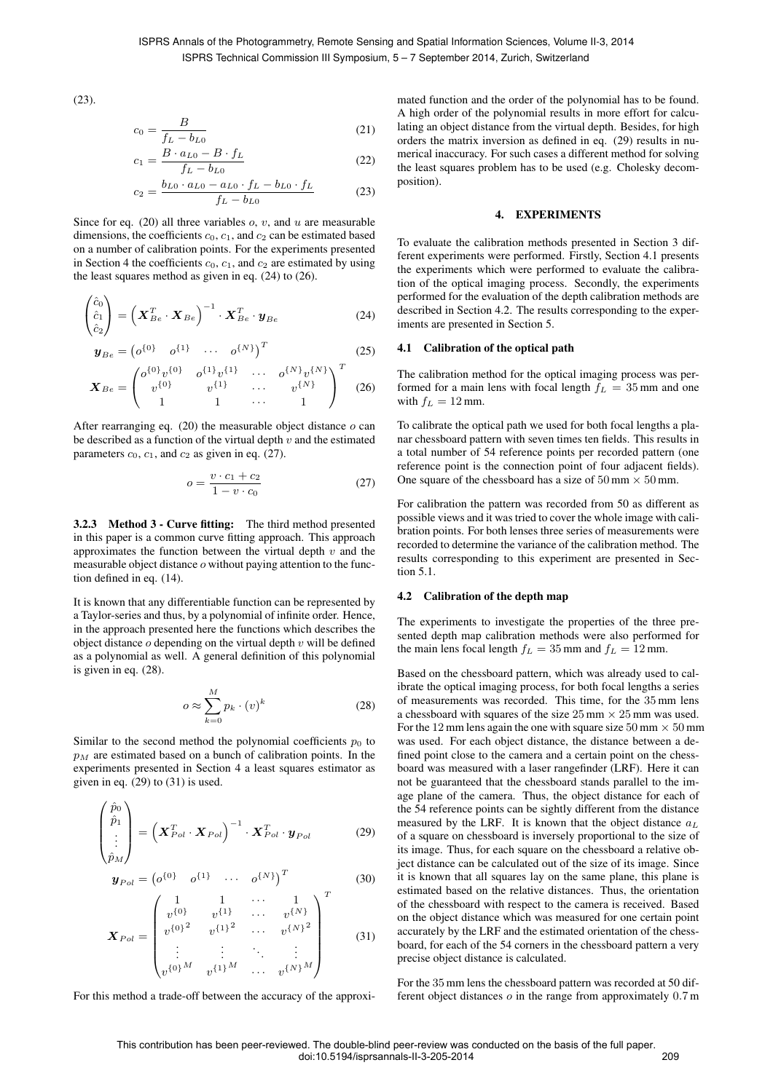(23).

$$
c_0 = \frac{B}{f_L - b_{L0}}\tag{21}
$$

$$
c_1 = \frac{B \cdot a_{L0} - B \cdot f_L}{f_L - b_{L0}}\tag{22}
$$

$$
c_2 = \frac{b_{L0} \cdot a_{L0} - a_{L0} \cdot f_L - b_{L0} \cdot f_L}{f_L - b_{L0}}
$$
 (23)

Since for eq. (20) all three variables  $\alpha$ ,  $v$ , and  $u$  are measurable dimensions, the coefficients  $c_0$ ,  $c_1$ , and  $c_2$  can be estimated based on a number of calibration points. For the experiments presented in Section 4 the coefficients  $c_0$ ,  $c_1$ , and  $c_2$  are estimated by using the least squares method as given in eq. (24) to (26).

$$
\begin{pmatrix} \hat{c}_0 \\ \hat{c}_1 \\ \hat{c}_2 \end{pmatrix} = \left( \boldsymbol{X}_{Be}^T \cdot \boldsymbol{X}_{Be} \right)^{-1} \cdot \boldsymbol{X}_{Be}^T \cdot \boldsymbol{y}_{Be}
$$
(24)

$$
\mathbf{y}_{Be} = \begin{pmatrix} o^{\{0\}} & o^{\{1\}} & \cdots & o^{\{N\}} \end{pmatrix}^T
$$
 (25)

$$
\boldsymbol{X}_{Be} = \begin{pmatrix} o^{\{0\}}v^{\{0\}} & o^{\{1\}}v^{\{1\}} & \cdots & o^{\{N\}}v^{\{N\}} \\ v^{\{0\}} & v^{\{1\}} & \cdots & v^{\{N\}} \\ 1 & 1 & \cdots & 1 \end{pmatrix}^T
$$
 (26)

After rearranging eq.  $(20)$  the measurable object distance  $o$  can be described as a function of the virtual depth  $v$  and the estimated parameters  $c_0$ ,  $c_1$ , and  $c_2$  as given in eq. (27).

$$
o = \frac{v \cdot c_1 + c_2}{1 - v \cdot c_0} \tag{27}
$$

3.2.3 Method 3 - Curve fitting: The third method presented in this paper is a common curve fitting approach. This approach approximates the function between the virtual depth  $v$  and the measurable object distance o without paying attention to the function defined in eq. (14).

It is known that any differentiable function can be represented by a Taylor-series and thus, by a polynomial of infinite order. Hence, in the approach presented here the functions which describes the object distance  $o$  depending on the virtual depth  $v$  will be defined as a polynomial as well. A general definition of this polynomial is given in eq. (28).

$$
o \approx \sum_{k=0}^{M} p_k \cdot (v)^k \tag{28}
$$

Similar to the second method the polynomial coefficients  $p_0$  to  $p_M$  are estimated based on a bunch of calibration points. In the experiments presented in Section 4 a least squares estimator as given in eq. (29) to (31) is used.

$$
\begin{pmatrix} \hat{p}_0 \\ \hat{p}_1 \\ \vdots \\ \hat{p}_M \end{pmatrix} = \left( \boldsymbol{X}_{Pol}^T \cdot \boldsymbol{X}_{Pol} \right)^{-1} \cdot \boldsymbol{X}_{Pol}^T \cdot \boldsymbol{y}_{Pol} \tag{29}
$$

$$
\mathbf{y}_{Pol} = \begin{pmatrix} o^{\{0\}} & o^{\{1\}} & \cdots & o^{\{N\}} \end{pmatrix}^T
$$
 (30)

$$
\boldsymbol{X}_{Pol} = \begin{pmatrix} 1 & 1 & \cdots & 1 \\ v^{\{0\}} & v^{\{1\}} & \cdots & v^{\{N\}} \\ v^{\{0\}}^2 & v^{\{1\}}^2 & \cdots & v^{\{N\}}^2 \\ \vdots & \vdots & \ddots & \vdots \\ v^{\{0\}}^M & v^{\{1\}}^M & \cdots & v^{\{N\}}^M \end{pmatrix}^T
$$
(31)

For this method a trade-off between the accuracy of the approxi-

mated function and the order of the polynomial has to be found. A high order of the polynomial results in more effort for calculating an object distance from the virtual depth. Besides, for high orders the matrix inversion as defined in eq. (29) results in numerical inaccuracy. For such cases a different method for solving the least squares problem has to be used (e.g. Cholesky decomposition).

## 4. EXPERIMENTS

To evaluate the calibration methods presented in Section 3 different experiments were performed. Firstly, Section 4.1 presents the experiments which were performed to evaluate the calibration of the optical imaging process. Secondly, the experiments performed for the evaluation of the depth calibration methods are described in Section 4.2. The results corresponding to the experiments are presented in Section 5.

### 4.1 Calibration of the optical path

The calibration method for the optical imaging process was performed for a main lens with focal length  $f_L = 35$  mm and one with  $f_L = 12$  mm.

To calibrate the optical path we used for both focal lengths a planar chessboard pattern with seven times ten fields. This results in a total number of 54 reference points per recorded pattern (one reference point is the connection point of four adjacent fields). One square of the chessboard has a size of  $50 \text{ mm} \times 50 \text{ mm}$ .

For calibration the pattern was recorded from 50 as different as possible views and it was tried to cover the whole image with calibration points. For both lenses three series of measurements were recorded to determine the variance of the calibration method. The results corresponding to this experiment are presented in Section 5.1.

### 4.2 Calibration of the depth map

The experiments to investigate the properties of the three presented depth map calibration methods were also performed for the main lens focal length  $f_L = 35$  mm and  $f_L = 12$  mm.

Based on the chessboard pattern, which was already used to calibrate the optical imaging process, for both focal lengths a series of measurements was recorded. This time, for the 35 mm lens a chessboard with squares of the size  $25 \text{ mm} \times 25 \text{ mm}$  was used. For the 12 mm lens again the one with square size  $50 \text{ mm} \times 50 \text{ mm}$ was used. For each object distance, the distance between a defined point close to the camera and a certain point on the chessboard was measured with a laser rangefinder (LRF). Here it can not be guaranteed that the chessboard stands parallel to the image plane of the camera. Thus, the object distance for each of the 54 reference points can be sightly different from the distance measured by the LRF. It is known that the object distance  $a<sub>L</sub>$ of a square on chessboard is inversely proportional to the size of its image. Thus, for each square on the chessboard a relative object distance can be calculated out of the size of its image. Since it is known that all squares lay on the same plane, this plane is estimated based on the relative distances. Thus, the orientation of the chessboard with respect to the camera is received. Based on the object distance which was measured for one certain point accurately by the LRF and the estimated orientation of the chessboard, for each of the 54 corners in the chessboard pattern a very precise object distance is calculated.

For the 35 mm lens the chessboard pattern was recorded at 50 different object distances  $\sigma$  in the range from approximately  $0.7$  m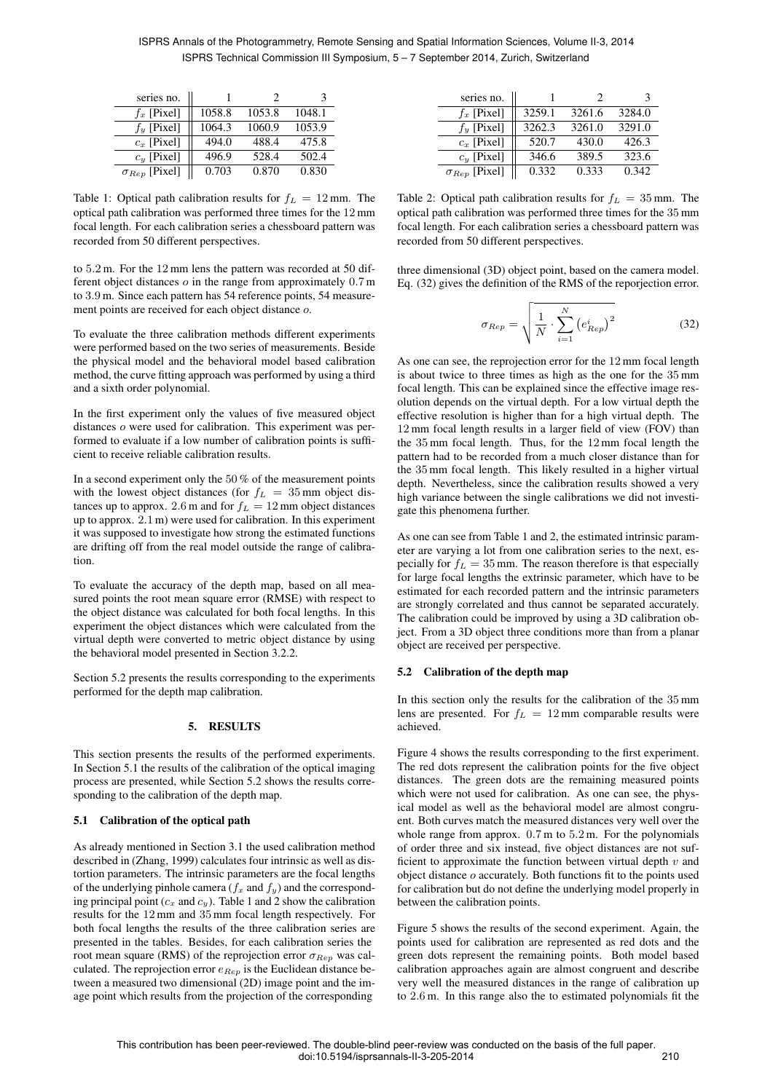ISPRS Annals of the Photogrammetry, Remote Sensing and Spatial Information Sciences, Volume II-3, 2014 ISPRS Technical Commission III Symposium, 5 – 7 September 2014, Zurich, Switzerland

| series no.             |        |        | з      |
|------------------------|--------|--------|--------|
| $f_x$ [Pixel]          | 1058.8 | 1053.8 | 1048.1 |
| $f_y$ [Pixel]          | 1064.3 | 1060.9 | 1053.9 |
| $c_x$ [Pixel]          | 494.0  | 488.4  | 475.8  |
| $c_y$ [Pixel]          | 496.9  | 528.4  | 502.4  |
| $\sigma_{Rep}$ [Pixel] | 0.703  | 0.870  | 0.830  |

Table 1: Optical path calibration results for  $f_L = 12$  mm. The optical path calibration was performed three times for the 12 mm focal length. For each calibration series a chessboard pattern was recorded from 50 different perspectives.

to 5.2 m. For the 12 mm lens the pattern was recorded at 50 different object distances o in the range from approximately 0.7 m to 3.9 m. Since each pattern has 54 reference points, 54 measurement points are received for each object distance o.

To evaluate the three calibration methods different experiments were performed based on the two series of measurements. Beside the physical model and the behavioral model based calibration method, the curve fitting approach was performed by using a third and a sixth order polynomial.

In the first experiment only the values of five measured object distances o were used for calibration. This experiment was performed to evaluate if a low number of calibration points is sufficient to receive reliable calibration results.

In a second experiment only the 50 % of the measurement points with the lowest object distances (for  $f_L = 35$  mm object distances up to approx. 2.6 m and for  $f_L = 12$  mm object distances up to approx. 2.1 m) were used for calibration. In this experiment it was supposed to investigate how strong the estimated functions are drifting off from the real model outside the range of calibration.

To evaluate the accuracy of the depth map, based on all measured points the root mean square error (RMSE) with respect to the object distance was calculated for both focal lengths. In this experiment the object distances which were calculated from the virtual depth were converted to metric object distance by using the behavioral model presented in Section 3.2.2.

Section 5.2 presents the results corresponding to the experiments performed for the depth map calibration.

## 5. RESULTS

This section presents the results of the performed experiments. In Section 5.1 the results of the calibration of the optical imaging process are presented, while Section 5.2 shows the results corresponding to the calibration of the depth map.

#### 5.1 Calibration of the optical path

As already mentioned in Section 3.1 the used calibration method described in (Zhang, 1999) calculates four intrinsic as well as distortion parameters. The intrinsic parameters are the focal lengths of the underlying pinhole camera ( $f_x$  and  $f_y$ ) and the corresponding principal point ( $c_x$  and  $c_y$ ). Table 1 and 2 show the calibration results for the 12 mm and 35 mm focal length respectively. For both focal lengths the results of the three calibration series are presented in the tables. Besides, for each calibration series the root mean square (RMS) of the reprojection error  $\sigma_{Rep}$  was calculated. The reprojection error  $e_{Rep}$  is the Euclidean distance between a measured two dimensional (2D) image point and the image point which results from the projection of the corresponding

| series no.             |        |        |        |
|------------------------|--------|--------|--------|
| $f_x$ [Pixel]          | 3259.1 | 3261.6 | 3284.0 |
| $f_u$ [Pixel]          | 3262.3 | 3261.0 | 3291.0 |
| $c_x$ [Pixel]          | 520.7  | 430.0  | 426.3  |
| $c_y$ [Pixel]          | 346.6  | 389.5  | 323.6  |
| $\sigma_{Rep}$ [Pixel] | 0.332  | 0.333  | 0.342  |

Table 2: Optical path calibration results for  $f_L = 35$  mm. The optical path calibration was performed three times for the 35 mm focal length. For each calibration series a chessboard pattern was recorded from 50 different perspectives.

three dimensional (3D) object point, based on the camera model. Eq. (32) gives the definition of the RMS of the reporjection error.

$$
\sigma_{Rep} = \sqrt{\frac{1}{N} \cdot \sum_{i=1}^{N} (e_{Rep}^i)^2}
$$
 (32)

As one can see, the reprojection error for the 12 mm focal length is about twice to three times as high as the one for the 35 mm focal length. This can be explained since the effective image resolution depends on the virtual depth. For a low virtual depth the effective resolution is higher than for a high virtual depth. The 12 mm focal length results in a larger field of view (FOV) than the 35 mm focal length. Thus, for the 12 mm focal length the pattern had to be recorded from a much closer distance than for the 35 mm focal length. This likely resulted in a higher virtual depth. Nevertheless, since the calibration results showed a very high variance between the single calibrations we did not investigate this phenomena further.

As one can see from Table 1 and 2, the estimated intrinsic parameter are varying a lot from one calibration series to the next, especially for  $f_L = 35$  mm. The reason therefore is that especially for large focal lengths the extrinsic parameter, which have to be estimated for each recorded pattern and the intrinsic parameters are strongly correlated and thus cannot be separated accurately. The calibration could be improved by using a 3D calibration object. From a 3D object three conditions more than from a planar object are received per perspective.

#### 5.2 Calibration of the depth map

In this section only the results for the calibration of the 35 mm lens are presented. For  $f_L = 12$  mm comparable results were achieved.

Figure 4 shows the results corresponding to the first experiment. The red dots represent the calibration points for the five object distances. The green dots are the remaining measured points which were not used for calibration. As one can see, the physical model as well as the behavioral model are almost congruent. Both curves match the measured distances very well over the whole range from approx.  $0.7$  m to  $5.2$  m. For the polynomials of order three and six instead, five object distances are not sufficient to approximate the function between virtual depth  $v$  and object distance o accurately. Both functions fit to the points used for calibration but do not define the underlying model properly in between the calibration points.

Figure 5 shows the results of the second experiment. Again, the points used for calibration are represented as red dots and the green dots represent the remaining points. Both model based calibration approaches again are almost congruent and describe very well the measured distances in the range of calibration up to 2.6 m. In this range also the to estimated polynomials fit the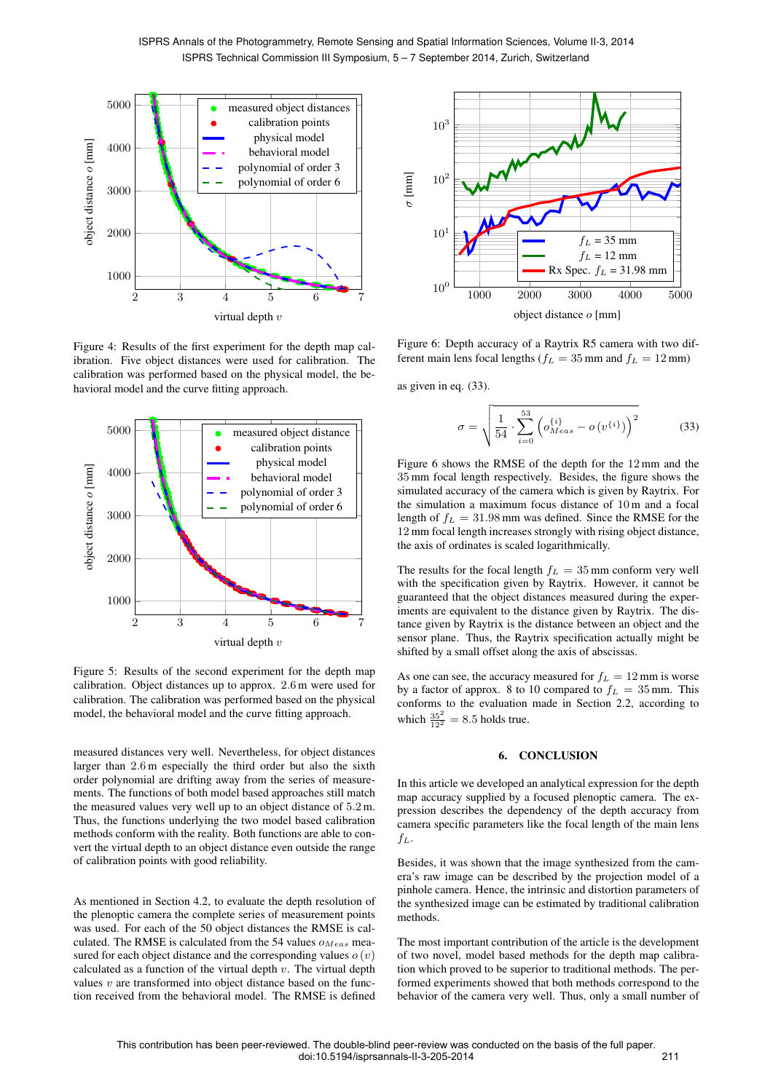

Figure 4: Results of the first experiment for the depth map calibration. Five object distances were used for calibration. The calibration was performed based on the physical model, the behavioral model and the curve fitting approach.



Figure 5: Results of the second experiment for the depth map calibration. Object distances up to approx. 2.6 m were used for calibration. The calibration was performed based on the physical model, the behavioral model and the curve fitting approach.

measured distances very well. Nevertheless, for object distances larger than 2.6 m especially the third order but also the sixth order polynomial are drifting away from the series of measurements. The functions of both model based approaches still match the measured values very well up to an object distance of 5.2 m. Thus, the functions underlying the two model based calibration methods conform with the reality. Both functions are able to convert the virtual depth to an object distance even outside the range of calibration points with good reliability.

As mentioned in Section 4.2, to evaluate the depth resolution of the plenoptic camera the complete series of measurement points was used. For each of the 50 object distances the RMSE is calculated. The RMSE is calculated from the 54 values  $o_{Meas}$  measured for each object distance and the corresponding values  $o(v)$ calculated as a function of the virtual depth  $v$ . The virtual depth values  $v$  are transformed into object distance based on the function received from the behavioral model. The RMSE is defined



Figure 6: Depth accuracy of a Raytrix R5 camera with two different main lens focal lengths ( $f_L = 35$  mm and  $f_L = 12$  mm)

as given in eq. (33).

$$
\sigma = \sqrt{\frac{1}{54} \cdot \sum_{i=0}^{53} \left( o_{Meas}^{\{i\}} - o(v^{\{i\}}) \right)^2}
$$
(33)

Figure 6 shows the RMSE of the depth for the 12 mm and the 35 mm focal length respectively. Besides, the figure shows the simulated accuracy of the camera which is given by Raytrix. For the simulation a maximum focus distance of 10 m and a focal length of  $f_L = 31.98$  mm was defined. Since the RMSE for the 12 mm focal length increases strongly with rising object distance, the axis of ordinates is scaled logarithmically.

The results for the focal length  $f_L = 35$  mm conform very well with the specification given by Raytrix. However, it cannot be guaranteed that the object distances measured during the experiments are equivalent to the distance given by Raytrix. The distance given by Raytrix is the distance between an object and the sensor plane. Thus, the Raytrix specification actually might be shifted by a small offset along the axis of abscissas.

As one can see, the accuracy measured for  $f_L = 12$  mm is worse by a factor of approx. 8 to 10 compared to  $f_L = 35$  mm. This conforms to the evaluation made in Section 2.2, according to which  $\frac{35^2}{12^2} = 8.5$  holds true.

### 6. CONCLUSION

In this article we developed an analytical expression for the depth map accuracy supplied by a focused plenoptic camera. The expression describes the dependency of the depth accuracy from camera specific parameters like the focal length of the main lens  $f_L$ .

Besides, it was shown that the image synthesized from the camera's raw image can be described by the projection model of a pinhole camera. Hence, the intrinsic and distortion parameters of the synthesized image can be estimated by traditional calibration methods.

The most important contribution of the article is the development of two novel, model based methods for the depth map calibration which proved to be superior to traditional methods. The performed experiments showed that both methods correspond to the behavior of the camera very well. Thus, only a small number of